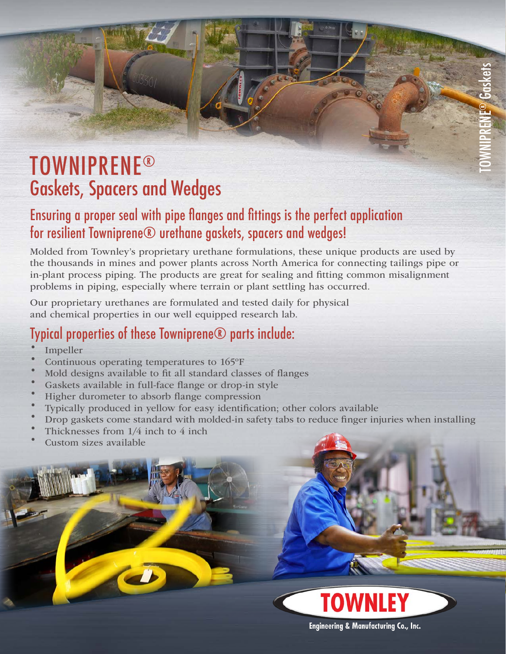## Gaskets, Spacers and Wedges TOWNIPRENE®

### Ensuring a proper seal with pipe flanges and fittings is the perfect application for resilient Towniprene® urethane gaskets, spacers and wedges!

Molded from Townley's proprietary urethane formulations, these unique products are used by the thousands in mines and power plants across North America for connecting tailings pipe or in-plant process piping. The products are great for sealing and fitting common misalignment problems in piping, especially where terrain or plant settling has occurred.

Our proprietary urethanes are formulated and tested daily for physical and chemical properties in our well equipped research lab.

### Typical properties of these Towniprene® parts include:

- · Impeller
- Impeller<br>Continuous operating temperatures to 165°F
- Mold designs available to fit all standard classes of flanges
- Gaskets available in full-face flange or drop-in style
- Higher durometer to absorb flange compression
- · Typically produced in yellow for easy identification; other colors available
- · Drop gaskets come standard with molded-in safety tabs to reduce finger injuries when installing
- Drop gaskets come standard with means Thicknesses from 1/4 inch to 4 inch Thicknesses from  $1/4$  inch to  $4$  inch<br>Custom sizes available
- 







**Engineering & Manufacturing Co., Inc.**